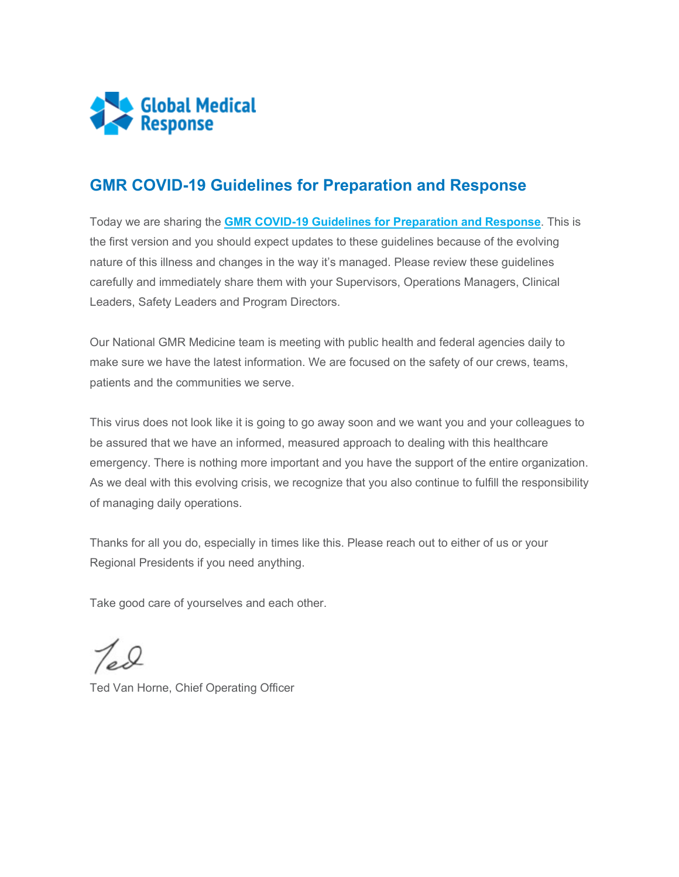

## **GMR COVID-19 Guidelines for Preparation and Response**

Today we are sharing the **[GMR COVID-19 Guidelines for Preparation and Response](https://staging-myportal.amr.net/CMSModules/Newsletters/CMSPages/Redirect.ashx?linkguid=39333cad-523a-4d2c-bb9f-83b6e768c387&email=Peggy.Norton%40gmr.net&hash=e293208d4f83632d24fb72e6963e4afb3392845653940ab58c0e51d0eeedcd89)**. This is the first version and you should expect updates to these guidelines because of the evolving nature of this illness and changes in the way it's managed. Please review these guidelines carefully and immediately share them with your Supervisors, Operations Managers, Clinical Leaders, Safety Leaders and Program Directors.

Our National GMR Medicine team is meeting with public health and federal agencies daily to make sure we have the latest information. We are focused on the safety of our crews, teams, patients and the communities we serve.

This virus does not look like it is going to go away soon and we want you and your colleagues to be assured that we have an informed, measured approach to dealing with this healthcare emergency. There is nothing more important and you have the support of the entire organization. As we deal with this evolving crisis, we recognize that you also continue to fulfill the responsibility of managing daily operations.

Thanks for all you do, especially in times like this. Please reach out to either of us or your Regional Presidents if you need anything.

Take good care of yourselves and each other.

Ted Van Horne, Chief Operating Officer